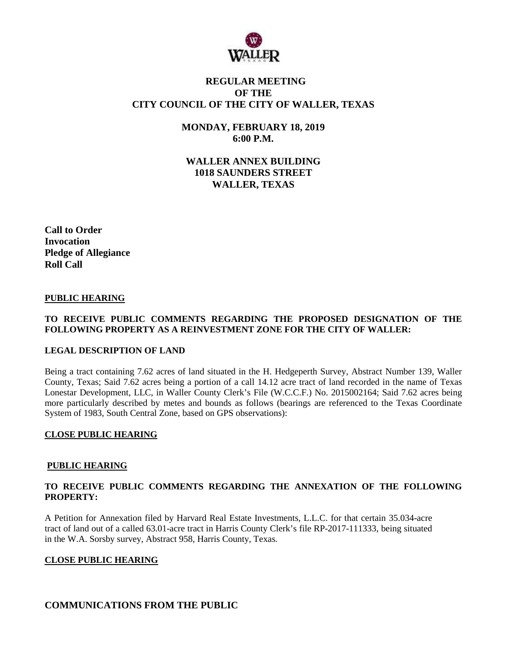

# **REGULAR MEETING OF THE CITY COUNCIL OF THE CITY OF WALLER, TEXAS**

**MONDAY, FEBRUARY 18, 2019 6:00 P.M.**

**WALLER ANNEX BUILDING 1018 SAUNDERS STREET WALLER, TEXAS**

**Call to Order Invocation Pledge of Allegiance Roll Call**

#### **PUBLIC HEARING**

#### **TO RECEIVE PUBLIC COMMENTS REGARDING THE PROPOSED DESIGNATION OF THE FOLLOWING PROPERTY AS A REINVESTMENT ZONE FOR THE CITY OF WALLER:**

#### **LEGAL DESCRIPTION OF LAND**

Being a tract containing 7.62 acres of land situated in the H. Hedgeperth Survey, Abstract Number 139, Waller County, Texas; Said 7.62 acres being a portion of a call 14.12 acre tract of land recorded in the name of Texas Lonestar Development, LLC, in Waller County Clerk's File (W.C.C.F.) No. 2015002164; Said 7.62 acres being more particularly described by metes and bounds as follows (bearings are referenced to the Texas Coordinate System of 1983, South Central Zone, based on GPS observations):

#### **CLOSE PUBLIC HEARING**

#### **PUBLIC HEARING**

#### **TO RECEIVE PUBLIC COMMENTS REGARDING THE ANNEXATION OF THE FOLLOWING PROPERTY:**

A Petition for Annexation filed by Harvard Real Estate Investments, L.L.C. for that certain 35.034-acre tract of land out of a called 63.01-acre tract in Harris County Clerk's file RP-2017-111333, being situated in the W.A. Sorsby survey, Abstract 958, Harris County, Texas.

#### **CLOSE PUBLIC HEARING**

## **COMMUNICATIONS FROM THE PUBLIC**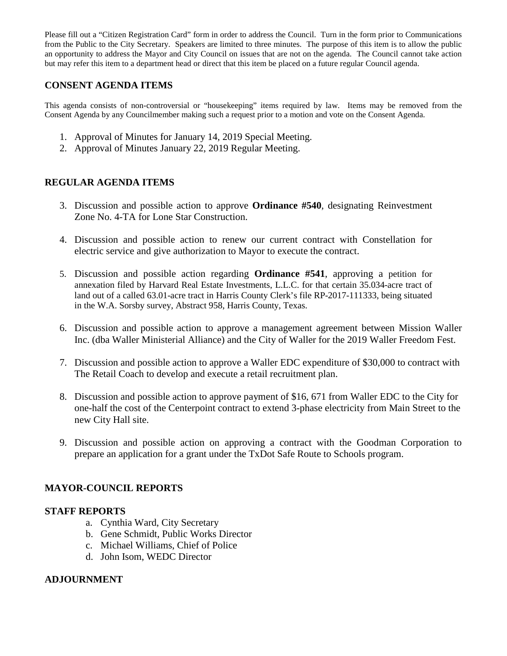Please fill out a "Citizen Registration Card" form in order to address the Council. Turn in the form prior to Communications from the Public to the City Secretary. Speakers are limited to three minutes. The purpose of this item is to allow the public an opportunity to address the Mayor and City Council on issues that are not on the agenda. The Council cannot take action but may refer this item to a department head or direct that this item be placed on a future regular Council agenda.

## **CONSENT AGENDA ITEMS**

This agenda consists of non-controversial or "housekeeping" items required by law. Items may be removed from the Consent Agenda by any Councilmember making such a request prior to a motion and vote on the Consent Agenda.

- 1. Approval of Minutes for January 14, 2019 Special Meeting.
- 2. Approval of Minutes January 22, 2019 Regular Meeting.

# **REGULAR AGENDA ITEMS**

- 3. Discussion and possible action to approve **Ordinance #540**, designating Reinvestment Zone No. 4-TA for Lone Star Construction.
- 4. Discussion and possible action to renew our current contract with Constellation for electric service and give authorization to Mayor to execute the contract.
- 5. Discussion and possible action regarding **Ordinance #541**, approving a petition for annexation filed by Harvard Real Estate Investments, L.L.C. for that certain 35.034-acre tract of land out of a called 63.01-acre tract in Harris County Clerk's file RP-2017-111333, being situated in the W.A. Sorsby survey, Abstract 958, Harris County, Texas.
- 6. Discussion and possible action to approve a management agreement between Mission Waller Inc. (dba Waller Ministerial Alliance) and the City of Waller for the 2019 Waller Freedom Fest.
- 7. Discussion and possible action to approve a Waller EDC expenditure of \$30,000 to contract with The Retail Coach to develop and execute a retail recruitment plan.
- 8. Discussion and possible action to approve payment of \$16, 671 from Waller EDC to the City for one-half the cost of the Centerpoint contract to extend 3-phase electricity from Main Street to the new City Hall site.
- 9. Discussion and possible action on approving a contract with the Goodman Corporation to prepare an application for a grant under the TxDot Safe Route to Schools program.

## **MAYOR-COUNCIL REPORTS**

### **STAFF REPORTS**

- a. Cynthia Ward, City Secretary
- b. Gene Schmidt, Public Works Director
- c. Michael Williams, Chief of Police
- d. John Isom, WEDC Director

## **ADJOURNMENT**